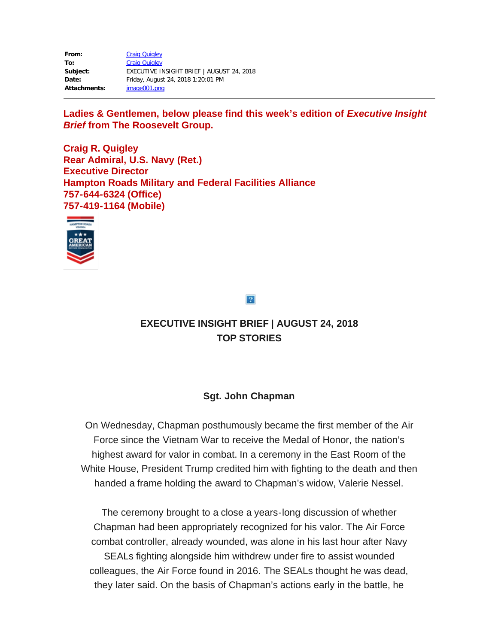| From:               | <b>Craig Quigley</b>                      |
|---------------------|-------------------------------------------|
| To:                 | <b>Craig Quigley</b>                      |
| Subject:            | EXECUTIVE INSIGHT BRIEF   AUGUST 24, 2018 |
| Date:               | Friday, August 24, 2018 1:20:01 PM        |
| <b>Attachments:</b> | image001.png                              |

Ladies & Gentlemen, below please find this week's edition of *Executive Insight Brief* **from The Roosevelt Group.**

**Craig R. Quigley Rear Admiral, U.S. Navy (Ret.) Executive Director Hampton Roads Military and Federal Facilities Alliance 757-644-6324 (Office) 757-419-1164 (Mobile)**



 $\overline{?}$ 

# **EXECUTIVE INSIGHT BRIEF | AUGUST 24, 2018 TOP STORIES**

# **Sgt. John Chapman**

On Wednesday, Chapman posthumously became the first member of the Air Force since the Vietnam War to receive the Medal of Honor, the nation's highest award for valor in combat. In a ceremony in the East Room of the White House, President Trump credited him with fighting to the death and then handed a frame holding the award to Chapman's widow, Valerie Nessel.

The ceremony brought to a close a years-long discussion of whether Chapman had been appropriately recognized for his valor. The Air Force combat controller, already wounded, was alone in his last hour after Navy SEALs fighting alongside him withdrew under fire to assist wounded colleagues, the Air Force found in 2016. The SEALs thought he was dead, they later said. On the basis of Chapman's actions early in the battle, he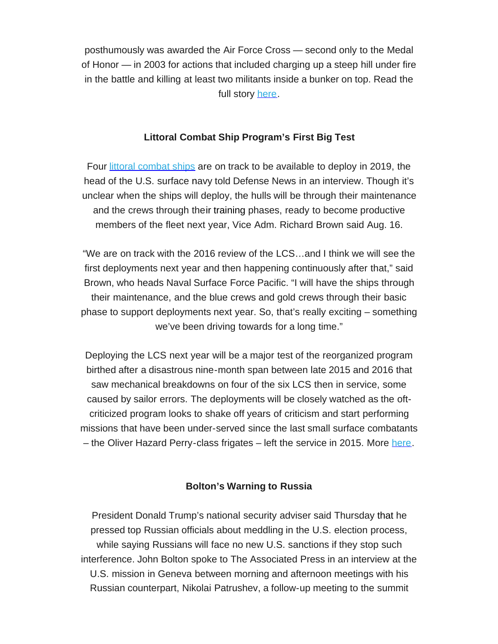posthumously was awarded the Air Force Cross — second only to the Medal of Honor — in 2003 for actions that included charging up a steep hill under fire in the battle and killing at least two militants inside a bunker on top. Read the full story [here](https://rooseveltdc.us12.list-manage.com/track/click?u=322456b7b4ad08c1b4904c407&id=ebd0eccb01&e=5c6d0a3b33).

### **Littoral Combat Ship Program's First Big Test**

Four littoral [combat](https://rooseveltdc.us12.list-manage.com/track/click?u=322456b7b4ad08c1b4904c407&id=978a3e4db2&e=5c6d0a3b33) ships are on track to be available to deploy in 2019, the head of the U.S. surface navy told Defense News in an interview. Though it's unclear when the ships will deploy, the hulls will be through their maintenance and the crews through their training phases, ready to become productive members of the fleet next year, Vice Adm. Richard Brown said Aug. 16.

"We are on track with the 2016 review of the LCS…and I think we will see the first deployments next year and then happening continuously after that," said Brown, who heads Naval Surface Force Pacific. "I will have the ships through their maintenance, and the blue crews and gold crews through their basic phase to support deployments next year. So, that's really exciting – something we've been driving towards for a long time."

Deploying the LCS next year will be a major test of the reorganized program birthed after a disastrous nine-month span between late 2015 and 2016 that saw mechanical breakdowns on four of the six LCS then in service, some caused by sailor errors. The deployments will be closely watched as the oftcriticized program looks to shake off years of criticism and start performing missions that have been under-served since the last small surface combatants – the Oliver Hazard Perry-class frigates – left the service in 2015. More [here.](https://rooseveltdc.us12.list-manage.com/track/click?u=322456b7b4ad08c1b4904c407&id=a8e636aa63&e=5c6d0a3b33)

#### **Bolton's Warning to Russia**

President Donald Trump's national security adviser said Thursday that he pressed top Russian officials about meddling in the U.S. election process, while saying Russians will face no new U.S. sanctions if they stop such interference. John Bolton spoke to The Associated Press in an interview at the U.S. mission in Geneva between morning and afternoon meetings with his Russian counterpart, Nikolai Patrushev, a follow-up meeting to the summit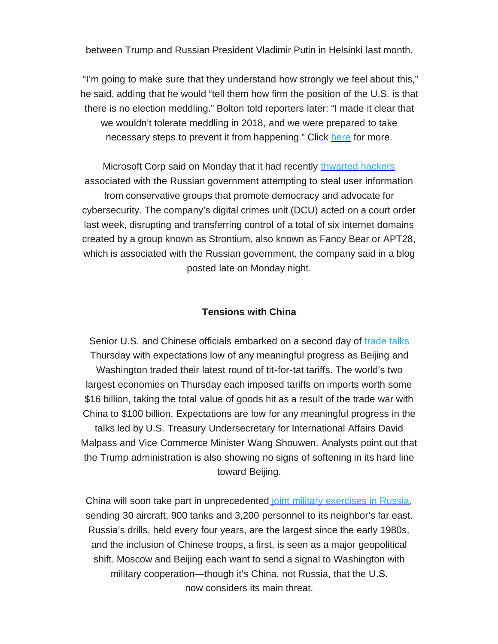between Trump and Russian President Vladimir Putin in Helsinki last month.

 "I'm going to make sure that they understand how strongly we feel about this," he said, adding that he would "tell them how firm the position of the U.S. is that there is no election meddling." Bolton told reporters later: "I made it clear that we wouldn't tolerate meddling in 2018, and we were prepared to take necessary steps to prevent it from happening." Click [here](https://rooseveltdc.us12.list-manage.com/track/click?u=322456b7b4ad08c1b4904c407&id=3124c77438&e=5c6d0a3b33) for more.

Microsoft Corp said on Monday that it had recently [thwarted](https://rooseveltdc.us12.list-manage.com/track/click?u=322456b7b4ad08c1b4904c407&id=a38edf9024&e=5c6d0a3b33) hackers associated with the Russian government attempting to steal user information from conservative groups that promote democracy and advocate for cybersecurity. The company's digital crimes unit (DCU) acted on a court order last week, disrupting and transferring control of a total of six internet domains created by a group known as Strontium, also known as Fancy Bear or APT28, which is associated with the Russian government, the company said in a blog posted late on Monday night.

#### **Tensions with China**

Senior U.S. and Chinese officials embarked on a second day of [trade](https://rooseveltdc.us12.list-manage.com/track/click?u=322456b7b4ad08c1b4904c407&id=8e25a9571f&e=5c6d0a3b33) talks Thursday with expectations low of any meaningful progress as Beijing and Washington traded their latest round of tit-for-tat tariffs. The world's two largest economies on Thursday each imposed tariffs on imports worth some \$16 billion, taking the total value of goods hit as a result of the trade war with China to \$100 billion. Expectations are low for any meaningful progress in the talks led by U.S. Treasury Undersecretary for International Affairs David Malpass and Vice Commerce Minister Wang Shouwen. Analysts point out that the Trump administration is also showing no signs of softening in its hard line toward Beijing.

China will soon take part in unprecedented joint military [exercises](https://rooseveltdc.us12.list-manage.com/track/click?u=322456b7b4ad08c1b4904c407&id=9ef04f64b9&e=5c6d0a3b33) in Russia, sending 30 aircraft, 900 tanks and 3,200 personnel to its neighbor's far east. Russia's drills, held every four years, are the largest since the early 1980s, and the inclusion of Chinese troops, a first, is seen as a major geopolitical shift. Moscow and Beijing each want to send a signal to Washington with military cooperation—though it's China, not Russia, that the U.S. now considers its main threat.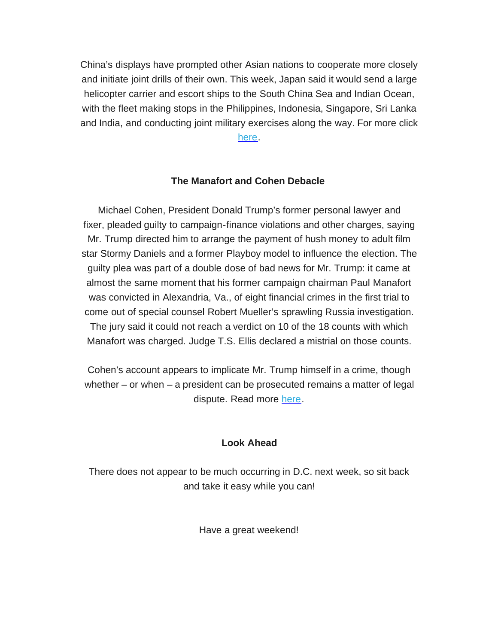China's displays have prompted other Asian nations to cooperate more closely and initiate joint drills of their own. This week, Japan said it would send a large helicopter carrier and escort ships to the South China Sea and Indian Ocean, with the fleet making stops in the Philippines, Indonesia, Singapore, Sri Lanka and India, and conducting joint military exercises along the way. For more click [here.](https://rooseveltdc.us12.list-manage.com/track/click?u=322456b7b4ad08c1b4904c407&id=a668cdf01b&e=5c6d0a3b33)

# **The Manafort and Cohen Debacle**

Michael Cohen, President Donald Trump's former personal lawyer and fixer, pleaded guilty to campaign-finance violations and other charges, saying Mr. Trump directed him to arrange the payment of hush money to adult film star Stormy Daniels and a former Playboy model to influence the election. The guilty plea was part of a double dose of bad news for Mr. Trump: it came at almost the same moment that his former campaign chairman Paul Manafort was convicted in Alexandria, Va., of eight financial crimes in the first trial to come out of special counsel Robert Mueller's sprawling Russia investigation. The jury said it could not reach a verdict on 10 of the 18 counts with which Manafort was charged. Judge T.S. Ellis declared a mistrial on those counts.

Cohen's account appears to implicate Mr. Trump himself in a crime, though whether – or when – a president can be prosecuted remains a matter of legal dispute. Read more [here.](https://rooseveltdc.us12.list-manage.com/track/click?u=322456b7b4ad08c1b4904c407&id=4f51680de9&e=5c6d0a3b33)

#### **Look Ahead**

There does not appear to be much occurring in D.C. next week, so sit back and take it easy while you can!

Have a great weekend!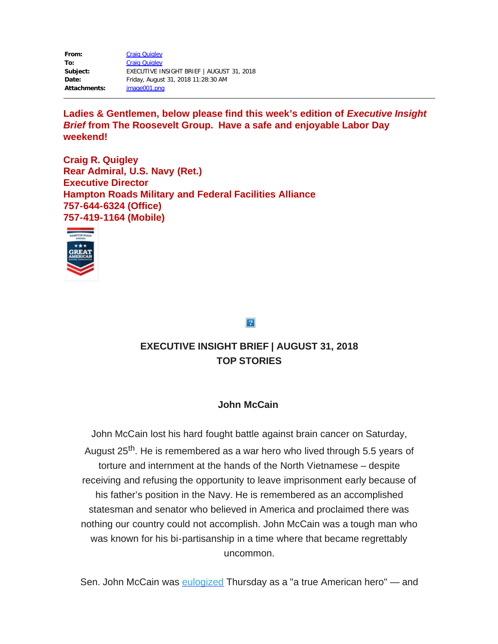**From:** [Craig Quigley](mailto:cquigley@hrmffa.org) **To:** [Craig Quigley](mailto:cquigley@hrmffa.org) **Subject:** EXECUTIVE INSIGHT BRIEF | AUGUST 31, 2018 **Date:** Friday, August 31, 2018 11:28:30 AM **Attachments:** image001.png

Ladies & Gentlemen, below please find this week's edition of *Executive Insight Brief* **from The Roosevelt Group. Have a safe and enjoyable Labor Day weekend!**

**Craig R. Quigley Rear Admiral, U.S. Navy (Ret.) Executive Director Hampton Roads Military and Federal Facilities Alliance 757-644-6324 (Office) 757-419-1164 (Mobile)**



### $\overline{?}$

# **EXECUTIVE INSIGHT BRIEF | AUGUST 31, 2018 TOP STORIES**

### **John McCain**

John McCain lost his hard fought battle against brain cancer on Saturday, August 25<sup>th</sup>. He is remembered as a war hero who lived through 5.5 years of torture and internment at the hands of the North Vietnamese – despite receiving and refusing the opportunity to leave imprisonment early because of his father's position in the Navy. He is remembered as an accomplished statesman and senator who believed in America and proclaimed there was nothing our country could not accomplish. John McCain was a tough man who was known for his bi-partisanship in a time where that became regrettably uncommon.

Sen. John McCain was [eulogized](https://rooseveltdc.us12.list-manage.com/track/click?u=322456b7b4ad08c1b4904c407&id=48f5e758b3&e=5c6d0a3b33) Thursday as a "a true American hero" — and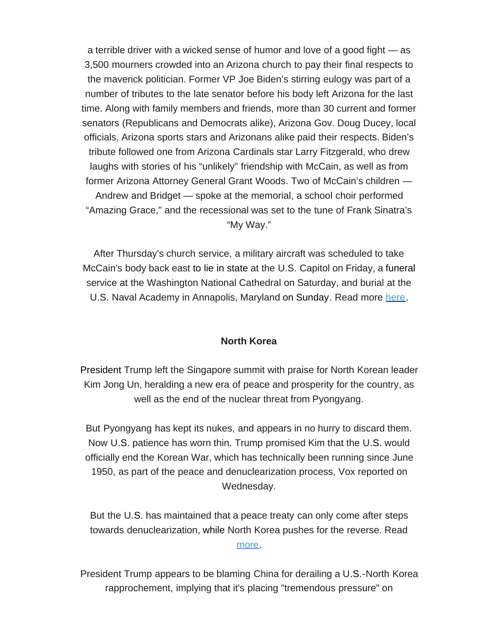a terrible driver with a wicked sense of humor and love of a good fight — as 3,500 mourners crowded into an Arizona church to pay their final respects to the maverick politician. Former VP Joe Biden's stirring eulogy was part of a number of tributes to the late senator before his body left Arizona for the last time. Along with family members and friends, more than 30 current and former senators (Republicans and Democrats alike), Arizona Gov. Doug Ducey, local officials, Arizona sports stars and Arizonans alike paid their respects. Biden's tribute followed one from Arizona Cardinals star Larry Fitzgerald, who drew laughs with stories of his "unlikely" friendship with McCain, as well as from former Arizona Attorney General Grant Woods. Two of McCain's children — Andrew and Bridget — spoke at the memorial, a school choir performed "Amazing Grace," and the recessional was set to the tune of Frank Sinatra's "My Way."

After Thursday's church service, a military aircraft was scheduled to take McCain's body back east to lie in state at the U.S. Capitol on Friday, a funeral service at the Washington National Cathedral on Saturday, and burial at the U.S. Naval Academy in Annapolis, Maryland on Sunday. Read more [here](https://rooseveltdc.us12.list-manage.com/track/click?u=322456b7b4ad08c1b4904c407&id=df4c0c1331&e=5c6d0a3b33).

#### **North Korea**

President Trump left the Singapore summit with praise for North Korean leader Kim Jong Un, heralding a new era of peace and prosperity for the country, as well as the end of the nuclear threat from Pyongyang.

But Pyongyang has kept its nukes, and appears in no hurry to discard them. Now U.S. patience has worn thin. Trump promised Kim that the U.S. would officially end the Korean War, which has technically been running since June 1950, as part of the peace and denuclearization process, Vox reported on Wednesday.

But the U.S. has maintained that a peace treaty can only come after steps towards denuclearization, while North Korea pushes for the reverse. Read [more.](https://rooseveltdc.us12.list-manage.com/track/click?u=322456b7b4ad08c1b4904c407&id=c7cc8990bf&e=5c6d0a3b33)

President Trump appears to be blaming China for derailing a U.S.-North Korea rapprochement, implying that it's placing "tremendous pressure" on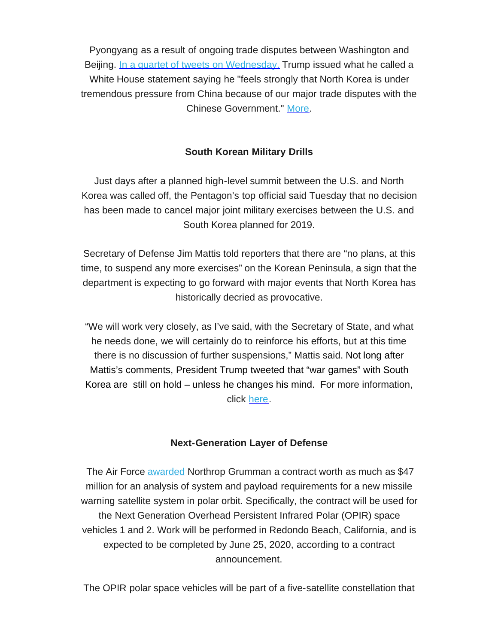Pyongyang as a result of ongoing trade disputes between Washington and Beijing. [In a quartet of tweets on Wednesday,](https://rooseveltdc.us12.list-manage.com/track/click?u=322456b7b4ad08c1b4904c407&id=e167dfd9c6&e=5c6d0a3b33) Trump issued what he called a White House statement saying he "feels strongly that North Korea is under tremendous pressure from China because of our major trade disputes with the Chinese Government." [More.](https://rooseveltdc.us12.list-manage.com/track/click?u=322456b7b4ad08c1b4904c407&id=9e3ec21b96&e=5c6d0a3b33)

### **South Korean Military Drills**

Just days after a planned high-level summit between the U.S. and North Korea was called off, the Pentagon's top official said Tuesday that no decision has been made to cancel major joint military exercises between the U.S. and South Korea planned for 2019.

Secretary of Defense Jim Mattis told reporters that there are "no plans, at this time, to suspend any more exercises" on the Korean Peninsula, a sign that the department is expecting to go forward with major events that North Korea has historically decried as provocative.

"We will work very closely, as I've said, with the Secretary of State, and what he needs done, we will certainly do to reinforce his efforts, but at this time there is no discussion of further suspensions," Mattis said. Not long after Mattis's comments, President Trump tweeted that "war games" with South Korea are still on hold – unless he changes his mind. For more information, click [here.](https://rooseveltdc.us12.list-manage.com/track/click?u=322456b7b4ad08c1b4904c407&id=4186040ae9&e=5c6d0a3b33)

#### **Next-Generation Layer of Defense**

The Air Force [awarded](https://rooseveltdc.us12.list-manage.com/track/click?u=322456b7b4ad08c1b4904c407&id=ff71e0a876&e=5c6d0a3b33) Northrop Grumman a contract worth as much as \$47 million for an analysis of system and payload requirements for a new missile warning satellite system in polar orbit. Specifically, the contract will be used for the Next Generation Overhead Persistent Infrared Polar (OPIR) space vehicles 1 and 2. Work will be performed in Redondo Beach, California, and is expected to be completed by June 25, 2020, according to a contract announcement.

The OPIR polar space vehicles will be part of a five-satellite constellation that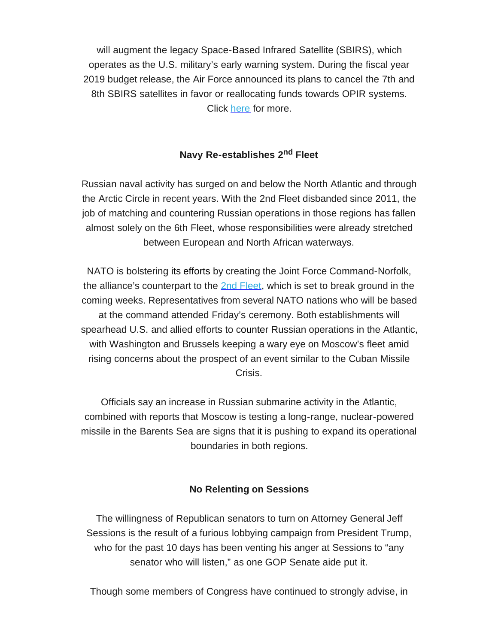will augment the legacy Space-Based Infrared Satellite (SBIRS), which operates as the U.S. military's early warning system. During the fiscal year 2019 budget release, the Air Force announced its plans to cancel the 7th and 8th SBIRS satellites in favor or reallocating funds towards OPIR systems. Click [here](https://rooseveltdc.us12.list-manage.com/track/click?u=322456b7b4ad08c1b4904c407&id=09f9c0c087&e=5c6d0a3b33) for more.

# **Navy Re-establishes 2nd Fleet**

Russian naval activity has surged on and below the North Atlantic and through the Arctic Circle in recent years. With the 2nd Fleet disbanded since 2011, the job of matching and countering Russian operations in those regions has fallen almost solely on the 6th Fleet, whose responsibilities were already stretched between European and North African waterways.

NATO is bolstering its efforts by creating the Joint Force Command-Norfolk, the alliance's counterpart to the [2nd Fleet,](https://rooseveltdc.us12.list-manage.com/track/click?u=322456b7b4ad08c1b4904c407&id=6edb10119b&e=5c6d0a3b33) which is set to break ground in the coming weeks. Representatives from several NATO nations who will be based at the command attended Friday's ceremony. Both establishments will spearhead U.S. and allied efforts to counter Russian operations in the Atlantic, with Washington and Brussels keeping a wary eye on Moscow's fleet amid rising concerns about the prospect of an event similar to the Cuban Missile Crisis.

Officials say an increase in Russian submarine activity in the Atlantic, combined with reports that Moscow is testing a long-range, nuclear-powered missile in the Barents Sea are signs that it is pushing to expand its operational boundaries in both regions.

### **No Relenting on Sessions**

The willingness of Republican senators to turn on Attorney General Jeff Sessions is the result of a furious lobbying campaign from President Trump, who for the past 10 days has been venting his anger at Sessions to "any senator who will listen," as one GOP Senate aide put it.

Though some members of Congress have continued to strongly advise, in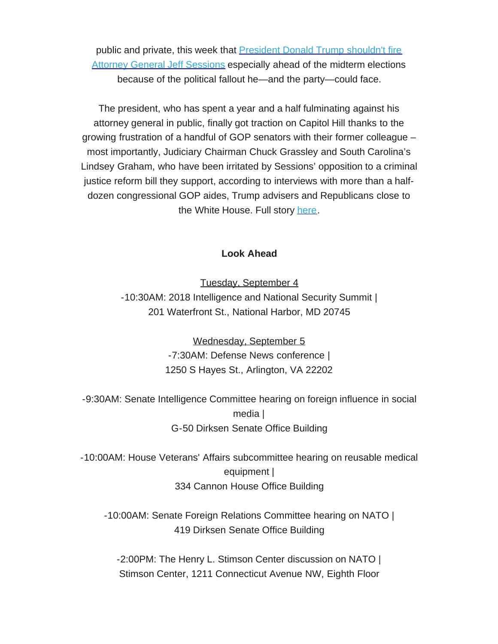public and private, this week that **[President Donald Trump shouldn't fire](https://rooseveltdc.us12.list-manage.com/track/click?u=322456b7b4ad08c1b4904c407&id=cb82b83916&e=5c6d0a3b33)** [Attorney General Jeff Sessions](https://rooseveltdc.us12.list-manage.com/track/click?u=322456b7b4ad08c1b4904c407&id=cb82b83916&e=5c6d0a3b33) especially ahead of the midterm elections because of the political fallout he—and the party—could face.

The president, who has spent a year and a half fulminating against his attorney general in public, finally got traction on Capitol Hill thanks to the growing frustration of a handful of GOP senators with their former colleague – most importantly, Judiciary Chairman Chuck Grassley and South Carolina's Lindsey Graham, who have been irritated by Sessions' opposition to a criminal justice reform bill they support, according to interviews with more than a halfdozen congressional GOP aides, Trump advisers and Republicans close to the White House. Full story [here.](https://rooseveltdc.us12.list-manage.com/track/click?u=322456b7b4ad08c1b4904c407&id=8a2a479ab8&e=5c6d0a3b33)

### **Look Ahead**

Tuesday, September 4 -10:30AM: 2018 Intelligence and National Security Summit | 201 Waterfront St., National Harbor, MD 20745

> Wednesday, September 5 -7:30AM: Defense News conference | 1250 S Hayes St., Arlington, VA 22202

-9:30AM: Senate Intelligence Committee hearing on foreign influence in social media | G-50 Dirksen Senate Office Building

-10:00AM: House Veterans' Affairs subcommittee hearing on reusable medical equipment | 334 Cannon House Office Building

-10:00AM: Senate Foreign Relations Committee hearing on NATO | 419 Dirksen Senate Office Building

-2:00PM: The Henry L. Stimson Center discussion on NATO | Stimson Center, 1211 Connecticut Avenue NW, Eighth Floor